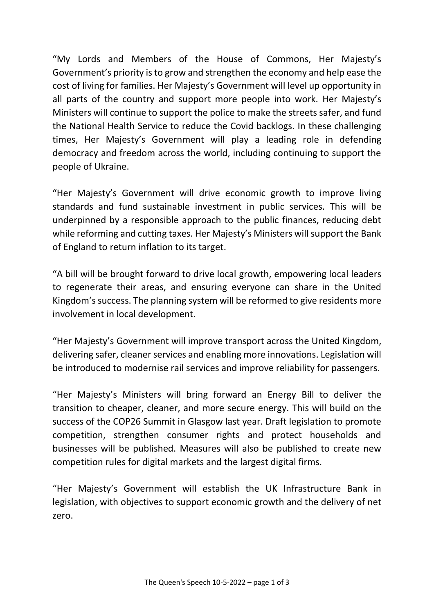"My Lords and Members of the House of Commons, Her Majesty's Government's priority is to grow and strengthen the economy and help ease the cost of living for families. Her Majesty's Government will level up opportunity in all parts of the country and support more people into work. Her Majesty's Ministers will continue to support the police to make the streets safer, and fund the National Health Service to reduce the Covid backlogs. In these challenging times, Her Majesty's Government will play a leading role in defending democracy and freedom across the world, including continuing to support the people of Ukraine.

"Her Majesty's Government will drive economic growth to improve living standards and fund sustainable investment in public services. This will be underpinned by a responsible approach to the public finances, reducing debt while reforming and cutting taxes. Her Majesty's Ministers will support the Bank of England to return inflation to its target.

"A bill will be brought forward to drive local growth, empowering local leaders to regenerate their areas, and ensuring everyone can share in the United Kingdom's success. The planning system will be reformed to give residents more involvement in local development.

"Her Majesty's Government will improve transport across the United Kingdom, delivering safer, cleaner services and enabling more innovations. Legislation will be introduced to modernise rail services and improve reliability for passengers.

"Her Majesty's Ministers will bring forward an Energy Bill to deliver the transition to cheaper, cleaner, and more secure energy. This will build on the success of the COP26 Summit in Glasgow last year. Draft legislation to promote competition, strengthen consumer rights and protect households and businesses will be published. Measures will also be published to create new competition rules for digital markets and the largest digital firms.

"Her Majesty's Government will establish the UK Infrastructure Bank in legislation, with objectives to support economic growth and the delivery of net zero.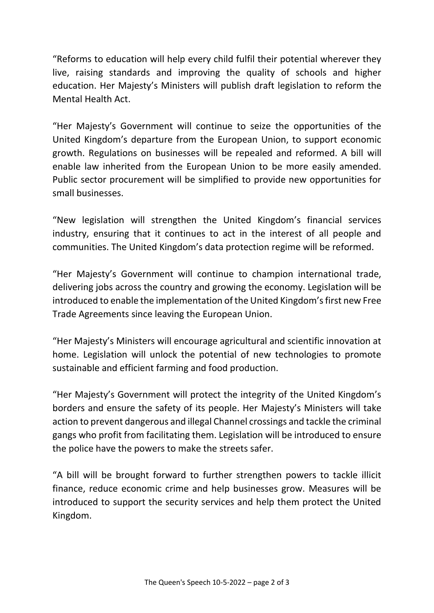"Reforms to education will help every child fulfil their potential wherever they live, raising standards and improving the quality of schools and higher education. Her Majesty's Ministers will publish draft legislation to reform the Mental Health Act.

"Her Majesty's Government will continue to seize the opportunities of the United Kingdom's departure from the European Union, to support economic growth. Regulations on businesses will be repealed and reformed. A bill will enable law inherited from the European Union to be more easily amended. Public sector procurement will be simplified to provide new opportunities for small businesses.

"New legislation will strengthen the United Kingdom's financial services industry, ensuring that it continues to act in the interest of all people and communities. The United Kingdom's data protection regime will be reformed.

"Her Majesty's Government will continue to champion international trade, delivering jobs across the country and growing the economy. Legislation will be introduced to enable the implementation of the United Kingdom's first new Free Trade Agreements since leaving the European Union.

"Her Majesty's Ministers will encourage agricultural and scientific innovation at home. Legislation will unlock the potential of new technologies to promote sustainable and efficient farming and food production.

"Her Majesty's Government will protect the integrity of the United Kingdom's borders and ensure the safety of its people. Her Majesty's Ministers will take action to prevent dangerous and illegal Channel crossings and tackle the criminal gangs who profit from facilitating them. Legislation will be introduced to ensure the police have the powers to make the streets safer.

"A bill will be brought forward to further strengthen powers to tackle illicit finance, reduce economic crime and help businesses grow. Measures will be introduced to support the security services and help them protect the United Kingdom.